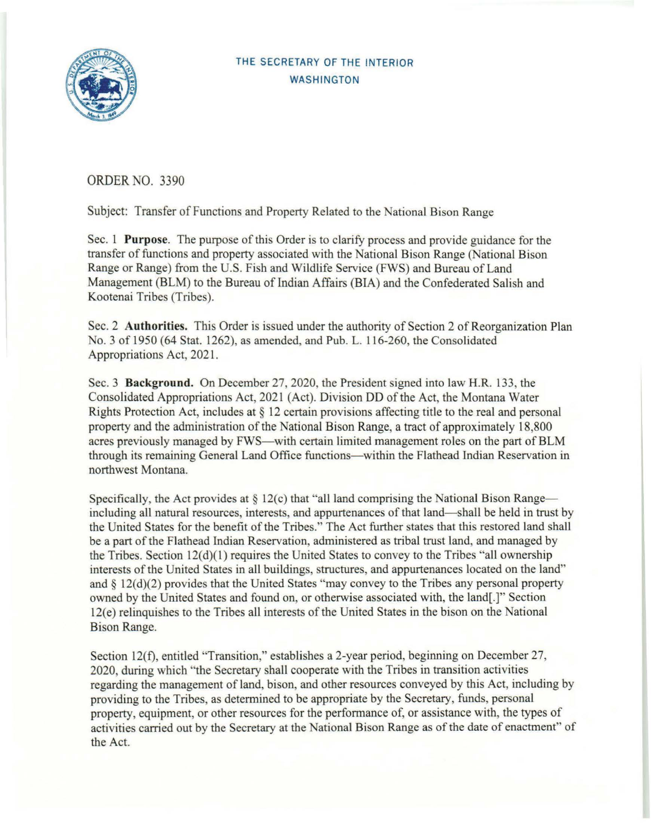

## THE SECRETARY OF THE INTERIOR **WASHINGTON**

ORDER NO. 3390

Subject: Transfer of Functions and Property Related to the National Bison Range

Sec. 1 **Purpose**. The purpose of this Order is to clarify process and provide guidance for the transfer of functions and property associated with the National Bison Range (National Bison Range or Range) from the U.S. Fish and Wildlife Service (FWS) and Bureau of Land Management (BLM) to the Bureau of Indian Affairs (BIA) and the Confederated Salish and Kootenai Tribes (Tribes).

Sec. 2 **Authorities.** This Order is issued under the authority of Section 2 of Reorganization Plan No. 3 of 1950 (64 Stat. 1262), as amended, and Pub. L. 116-260, the Consolidated Appropriations Act, 2021.

Sec. 3 **Background.** On December 27, 2020, the President signed into law H.R. 133, the Consolidated Appropriations Act, 2021 (Act). Division DD of the Act, the Montana Water Rights Protection Act, includes at  $\S$  12 certain provisions affecting title to the real and personal property and the administration of the National Bison Range, a tract of approximately 18,800 acres previously managed by FWS—with certain limited management roles on the part of BLM through its remaining General Land Office functions—within the Flathead Indian Reservation in northwest Montana.

Specifically, the Act provides at  $\S 12(c)$  that "all land comprising the National Bison Range including all natural resources, interests, and appurtenances of that land—shall be held in trust by the United States for the benefit of the Tribes." The Act further states that this restored land shall be a part of the Flathead Indian Reservation, administered as tribal trust land, and managed by the Tribes. Section  $12(d)(1)$  requires the United States to convey to the Tribes "all ownership" interests of the United States in all buildings, structures, and appurtenances located on the land" and  $\S 12(d)(2)$  provides that the United States "may convey to the Tribes any personal property owned by the United States and found on, or otherwise associated with, the land[.]" Section 12(e) relinquishes to the Tribes all interests of the United States in the bison on the National Bison Range.

Section 12(f), entitled "Transition," establishes a 2-year period, beginning on December 27, 2020, during which "the Secretary shall cooperate with the Tribes in transition activities regarding the management of land, bison, and other resources conveyed by this Act, including by providing to the Tribes, as determined to be appropriate by the Secretary, funds, personal property, equipment, or other resources for the performance of, or assistance with, the types of activities carried out by the Secretary at the National Bison Range as of the date of enactment" of the Act.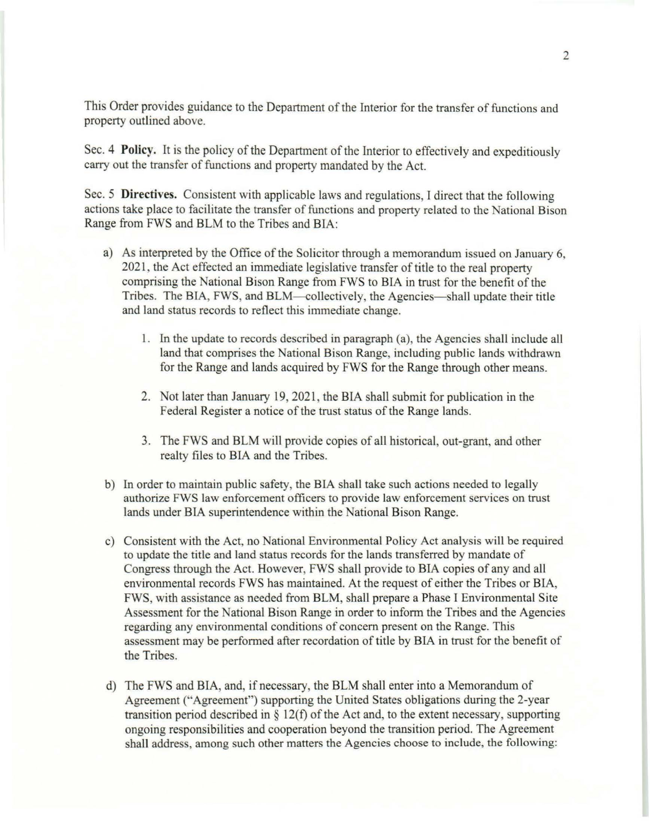This Order provides guidance to the Department of the Interior for the transfer of functions and property outlined above.

Sec. 4 **Policy.** It is the policy of the Department of the Interior to effectively and expeditiously carry out the transfer of functions and property mandated by the Act.

Sec. 5 **Directives.** Consistent with applicable laws and regulations, I direct that the following actions take place to facilitate the transfer of functions and property related to the National Bison Range from FWS and BLM to the Tribes and BIA:

- a) As interpreted by the Office of the Solicitor through a memorandum issued on January 6. 2021, the Act effected an immediate legislative transfer of title to the real property comprising the National Bison Range from FWS to BIA in trust for the benefit of the Tribes. The BIA, FWS, and BLM—collectively, the Agencies—shall update their title and land status records to reflect this immediate change.
	- 1. In the update to records described in paragraph (a), the Agencies shall include all land that comprises the National Bison Range, including public lands withdrawn for the Range and lands acquired by FWS for the Range through other means.
	- 2. Not later than January 19, 2021, the BIA shall submit for publication in the Federal Register a notice of the trust status of the Range lands.
	- 3. The FWS and BLM will provide copies of all historical, out-grant, and other realty files to BIA and the Tribes.
- b) In order to maintain public safety, the BIA shall take such actions needed to legally authorize FWS law enforcement officers to provide law enforcement services on trust lands under BIA superintendence within the National Bison Range.
- c) Consistent with the Act, no National Environmental Policy Act analysis will be required to update the title and land status records for the lands transferred by mandate of Congress through the Act. However, FWS shall provide to BIA copies of any and all environmental records FWS has maintained. At the request of either the Tribes or BIA, FWS, with assistance as needed from BLM, shall prepare a Phase I Environmental Site Assessment for the National Bison Range in order to inform the Tribes and the Agencies regarding any environmental conditions of concern present on the Range. This assessment may be performed after recordation of title by BIA in trust for the benefit of the Tribes.
- d) The FWS and BIA, and, if necessary, the BLM shall enter into a Memorandum of Agreement ("Agreement") supporting the United States obligations during the 2-year transition period described in § 12(f) of the Act and, to the extent necessary, supporting ongoing responsibilities and cooperation beyond the transition period. The Agreement shall address, among such other matters the Agencies choose to include, the following: